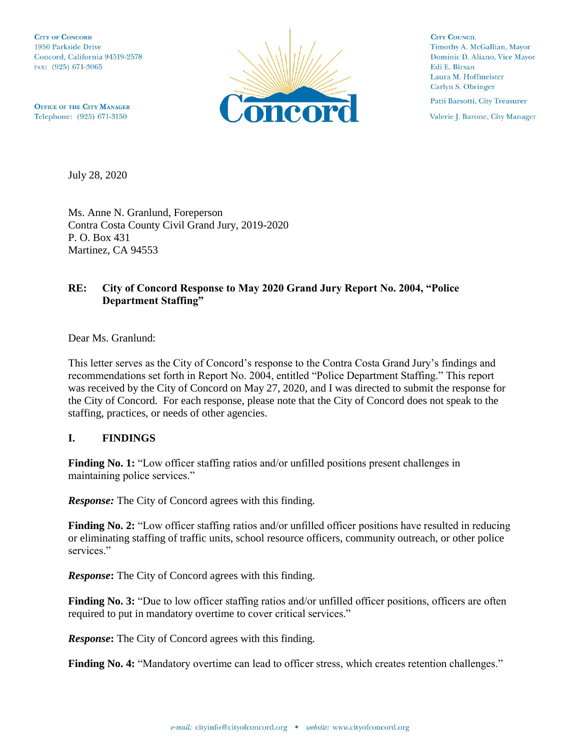**CITY OF CONCORD** 1950 Parkside Drive Concord, California 94519-2578 FAX: (925) 671-3065



**CITY COUNCIL** Timothy A. McGallian, Mayor Dominic D. Aliano, Vice Mayor Edi E. Birsan Laura M. Hoffmeister Carlyn S. Obringer

Patti Barsotti, City Treasurer

Valerie J. Barone, City Manager

**OFFICE OF THE CITY MANAGER** Telephone: (925) 671-3150

July 28, 2020

Ms. Anne N. Granlund, Foreperson Contra Costa County Civil Grand Jury, 2019-2020 P. O. Box 431 Martinez, CA 94553

## **RE: City of Concord Response to May 2020 Grand Jury Report No. 2004, "Police Department Staffing"**

Dear Ms. Granlund:

This letter serves as the City of Concord's response to the Contra Costa Grand Jury's findings and recommendations set forth in Report No. 2004, entitled "Police Department Staffing." This report was received by the City of Concord on May 27, 2020, and I was directed to submit the response for the City of Concord. For each response, please note that the City of Concord does not speak to the staffing, practices, or needs of other agencies.

## **I. FINDINGS**

Finding No. 1: "Low officer staffing ratios and/or unfilled positions present challenges in maintaining police services."

*Response:* The City of Concord agrees with this finding.

**Finding No. 2:** "Low officer staffing ratios and/or unfilled officer positions have resulted in reducing or eliminating staffing of traffic units, school resource officers, community outreach, or other police services."

*Response***:** The City of Concord agrees with this finding.

**Finding No. 3:** "Due to low officer staffing ratios and/or unfilled officer positions, officers are often required to put in mandatory overtime to cover critical services."

*Response***:** The City of Concord agrees with this finding.

**Finding No. 4:** "Mandatory overtime can lead to officer stress, which creates retention challenges."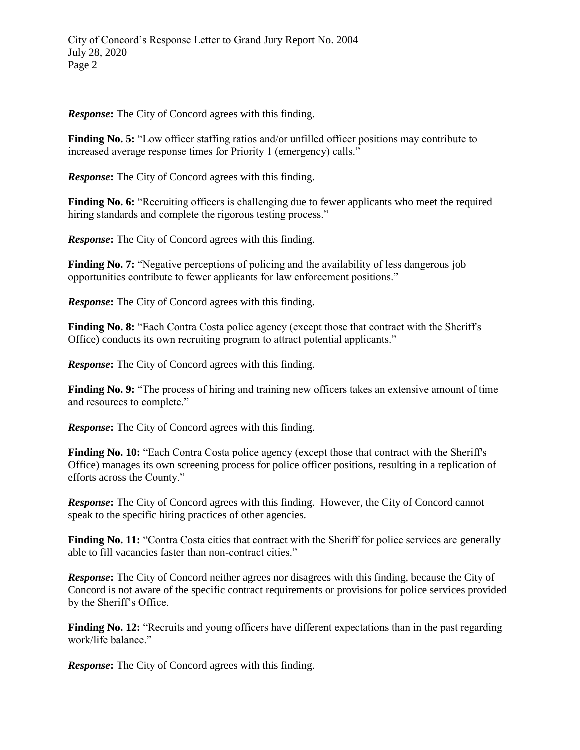*Response***:** The City of Concord agrees with this finding.

**Finding No. 5:** "Low officer staffing ratios and/or unfilled officer positions may contribute to increased average response times for Priority 1 (emergency) calls."

*Response***:** The City of Concord agrees with this finding.

**Finding No. 6:** "Recruiting officers is challenging due to fewer applicants who meet the required hiring standards and complete the rigorous testing process."

*Response***:** The City of Concord agrees with this finding.

**Finding No. 7:** "Negative perceptions of policing and the availability of less dangerous job opportunities contribute to fewer applicants for law enforcement positions."

*Response***:** The City of Concord agrees with this finding.

**Finding No. 8:** "Each Contra Costa police agency (except those that contract with the Sheriff's Office) conducts its own recruiting program to attract potential applicants."

*Response***:** The City of Concord agrees with this finding.

Finding No. 9: "The process of hiring and training new officers takes an extensive amount of time and resources to complete."

*Response***:** The City of Concord agrees with this finding.

Finding No. 10: "Each Contra Costa police agency (except those that contract with the Sheriff's Office) manages its own screening process for police officer positions, resulting in a replication of efforts across the County."

*Response***:** The City of Concord agrees with this finding. However, the City of Concord cannot speak to the specific hiring practices of other agencies.

Finding No. 11: "Contra Costa cities that contract with the Sheriff for police services are generally able to fill vacancies faster than non-contract cities."

*Response***:** The City of Concord neither agrees nor disagrees with this finding, because the City of Concord is not aware of the specific contract requirements or provisions for police services provided by the Sheriff's Office.

**Finding No. 12:** "Recruits and young officers have different expectations than in the past regarding work/life balance."

*Response***:** The City of Concord agrees with this finding.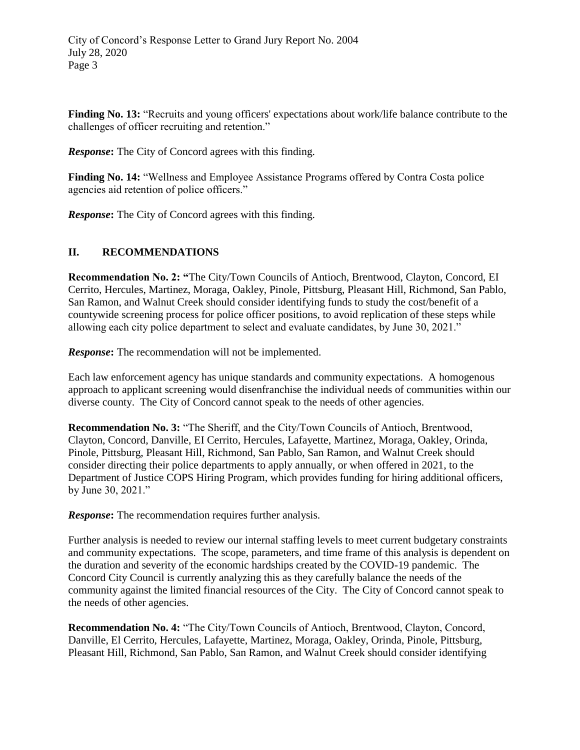**Finding No. 13:** "Recruits and young officers' expectations about work/life balance contribute to the challenges of officer recruiting and retention."

*Response***:** The City of Concord agrees with this finding.

**Finding No. 14:** "Wellness and Employee Assistance Programs offered by Contra Costa police agencies aid retention of police officers."

*Response***:** The City of Concord agrees with this finding.

## **II. RECOMMENDATIONS**

**Recommendation No. 2: "**The City/Town Councils of Antioch, Brentwood, Clayton, Concord, EI Cerrito, Hercules, Martinez, Moraga, Oakley, Pinole, Pittsburg, Pleasant Hill, Richmond, San Pablo, San Ramon, and Walnut Creek should consider identifying funds to study the cost/benefit of a countywide screening process for police officer positions, to avoid replication of these steps while allowing each city police department to select and evaluate candidates, by June 30, 2021."

*Response*: The recommendation will not be implemented.

Each law enforcement agency has unique standards and community expectations. A homogenous approach to applicant screening would disenfranchise the individual needs of communities within our diverse county. The City of Concord cannot speak to the needs of other agencies.

**Recommendation No. 3:** "The Sheriff, and the City/Town Councils of Antioch, Brentwood, Clayton, Concord, Danville, EI Cerrito, Hercules, Lafayette, Martinez, Moraga, Oakley, Orinda, Pinole, Pittsburg, Pleasant Hill, Richmond, San Pablo, San Ramon, and Walnut Creek should consider directing their police departments to apply annually, or when offered in 2021, to the Department of Justice COPS Hiring Program, which provides funding for hiring additional officers, by June 30, 2021."

*Response***:** The recommendation requires further analysis.

Further analysis is needed to review our internal staffing levels to meet current budgetary constraints and community expectations. The scope, parameters, and time frame of this analysis is dependent on the duration and severity of the economic hardships created by the COVID-19 pandemic. The Concord City Council is currently analyzing this as they carefully balance the needs of the community against the limited financial resources of the City. The City of Concord cannot speak to the needs of other agencies.

**Recommendation No. 4:** "The City/Town Councils of Antioch, Brentwood, Clayton, Concord, Danville, El Cerrito, Hercules, Lafayette, Martinez, Moraga, Oakley, Orinda, Pinole, Pittsburg, Pleasant Hill, Richmond, San Pablo, San Ramon, and Walnut Creek should consider identifying